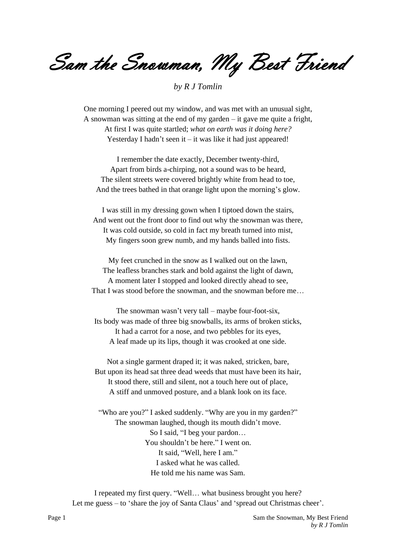Sam the *Snowman*, My Best Friend

*by R J Tomlin*

One morning I peered out my window, and was met with an unusual sight, A snowman was sitting at the end of my garden – it gave me quite a fright, At first I was quite startled; *what on earth was it doing here?* Yesterday I hadn't seen it  $-$  it was like it had just appeared!

I remember the date exactly, December twenty-third, Apart from birds a-chirping, not a sound was to be heard, The silent streets were covered brightly white from head to toe, And the trees bathed in that orange light upon the morning's glow.

I was still in my dressing gown when I tiptoed down the stairs, And went out the front door to find out why the snowman was there, It was cold outside, so cold in fact my breath turned into mist, My fingers soon grew numb, and my hands balled into fists.

My feet crunched in the snow as I walked out on the lawn, The leafless branches stark and bold against the light of dawn, A moment later I stopped and looked directly ahead to see, That I was stood before the snowman, and the snowman before me…

The snowman wasn't very tall – maybe four-foot-six, Its body was made of three big snowballs, its arms of broken sticks, It had a carrot for a nose, and two pebbles for its eyes, A leaf made up its lips, though it was crooked at one side.

Not a single garment draped it; it was naked, stricken, bare, But upon its head sat three dead weeds that must have been its hair, It stood there, still and silent, not a touch here out of place, A stiff and unmoved posture, and a blank look on its face.

"Who are you?" I asked suddenly. "Why are you in my garden?" The snowman laughed, though its mouth didn't move. So I said, "I beg your pardon… You shouldn't be here." I went on. It said, "Well, here I am." I asked what he was called. He told me his name was Sam.

I repeated my first query. "Well… what business brought you here? Let me guess – to 'share the joy of Santa Claus' and 'spread out Christmas cheer'.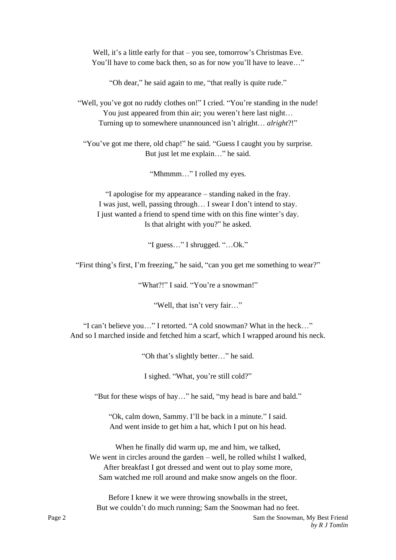Well, it's a little early for that – you see, tomorrow's Christmas Eve. You'll have to come back then, so as for now you'll have to leave..."

"Oh dear," he said again to me, "that really is quite rude."

"Well, you've got no ruddy clothes on!" I cried. "You're standing in the nude! You just appeared from thin air; you weren't here last night... Turning up to somewhere unannounced isn't alright… *alright*?!"

"You've got me there, old chap!" he said. "Guess I caught you by surprise. But just let me explain…" he said.

"Mhmmm…" I rolled my eyes.

"I apologise for my appearance – standing naked in the fray. I was just, well, passing through… I swear I don't intend to stay. I just wanted a friend to spend time with on this fine winter's day. Is that alright with you?" he asked.

"I guess…" I shrugged. "…Ok."

"First thing's first, I'm freezing," he said, "can you get me something to wear?"

"What?!" I said. "You're a snowman!"

"Well, that isn't very fair…"

"I can't believe you…" I retorted. "A cold snowman? What in the heck…" And so I marched inside and fetched him a scarf, which I wrapped around his neck.

"Oh that's slightly better…" he said.

I sighed. "What, you're still cold?"

"But for these wisps of hay…" he said, "my head is bare and bald."

"Ok, calm down, Sammy. I'll be back in a minute." I said. And went inside to get him a hat, which I put on his head.

When he finally did warm up, me and him, we talked, We went in circles around the garden – well, he rolled whilst I walked, After breakfast I got dressed and went out to play some more, Sam watched me roll around and make snow angels on the floor.

Before I knew it we were throwing snowballs in the street, But we couldn't do much running; Sam the Snowman had no feet.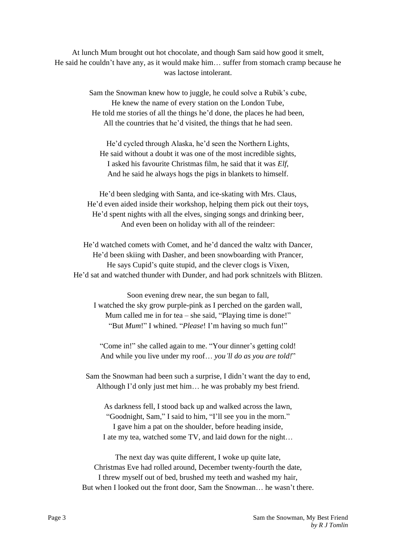At lunch Mum brought out hot chocolate, and though Sam said how good it smelt, He said he couldn't have any, as it would make him… suffer from stomach cramp because he was lactose intolerant.

> Sam the Snowman knew how to juggle, he could solve a Rubik's cube, He knew the name of every station on the London Tube, He told me stories of all the things he'd done, the places he had been, All the countries that he'd visited, the things that he had seen.

He'd cycled through Alaska, he'd seen the Northern Lights, He said without a doubt it was one of the most incredible sights, I asked his favourite Christmas film, he said that it was *Elf*, And he said he always hogs the pigs in blankets to himself.

He'd been sledging with Santa, and ice-skating with Mrs. Claus, He'd even aided inside their workshop, helping them pick out their toys, He'd spent nights with all the elves, singing songs and drinking beer, And even been on holiday with all of the reindeer:

He'd watched comets with Comet, and he'd danced the waltz with Dancer, He'd been skiing with Dasher, and been snowboarding with Prancer, He says Cupid's quite stupid, and the clever clogs is Vixen, He'd sat and watched thunder with Dunder, and had pork schnitzels with Blitzen.

Soon evening drew near, the sun began to fall, I watched the sky grow purple-pink as I perched on the garden wall, Mum called me in for tea – she said, "Playing time is done!" "But *Mum*!" I whined. "*Please*! I'm having so much fun!"

"Come in!" she called again to me. "Your dinner's getting cold! And while you live under my roof… *you'll do as you are told!*"

Sam the Snowman had been such a surprise, I didn't want the day to end, Although I'd only just met him… he was probably my best friend.

As darkness fell, I stood back up and walked across the lawn, "Goodnight, Sam," I said to him, "I'll see you in the morn." I gave him a pat on the shoulder, before heading inside, I ate my tea, watched some TV, and laid down for the night…

The next day was quite different, I woke up quite late, Christmas Eve had rolled around, December twenty-fourth the date, I threw myself out of bed, brushed my teeth and washed my hair, But when I looked out the front door, Sam the Snowman… he wasn't there.